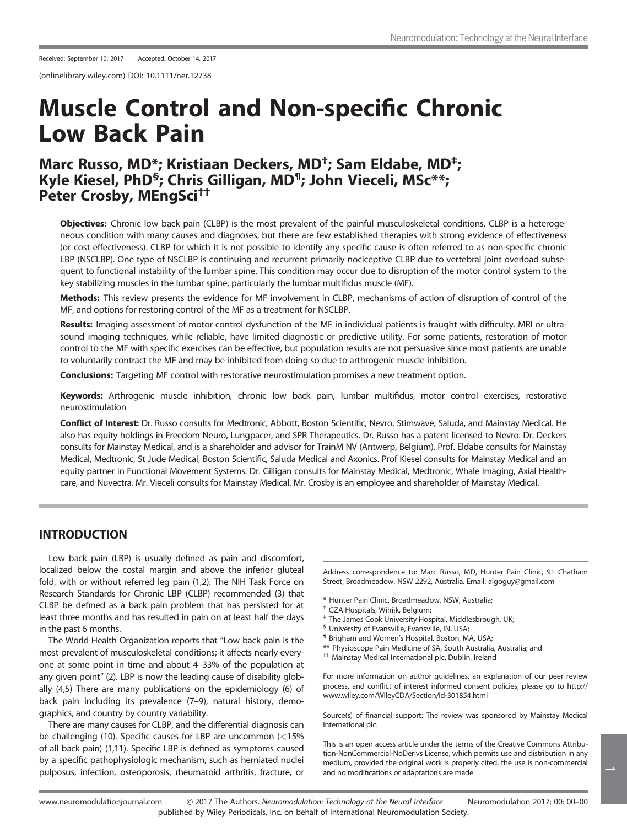(onlinelibrary.wiley.com) DOI: 10.1111/ner.12738

# Muscle Control and Non-specific Chronic Low Back Pain

## Marc Russo, MD<sup>\*</sup>; Kristiaan Deckers, MD<sup>+</sup>; Sam Eldabe, MD<sup>+</sup>; Kyle Kiesel, PhD<sup>§</sup>; Chris Gilligan, MD<sup>¶</sup>; John Vieceli, MSc<sup>\*\*</sup>; Peter Crosby, MEngSci††

Objectives: Chronic low back pain (CLBP) is the most prevalent of the painful musculoskeletal conditions. CLBP is a heterogeneous condition with many causes and diagnoses, but there are few established therapies with strong evidence of effectiveness (or cost effectiveness). CLBP for which it is not possible to identify any specific cause is often referred to as non-specific chronic LBP (NSCLBP). One type of NSCLBP is continuing and recurrent primarily nociceptive CLBP due to vertebral joint overload subsequent to functional instability of the lumbar spine. This condition may occur due to disruption of the motor control system to the key stabilizing muscles in the lumbar spine, particularly the lumbar multifidus muscle (MF).

Methods: This review presents the evidence for MF involvement in CLBP, mechanisms of action of disruption of control of the MF, and options for restoring control of the MF as a treatment for NSCLBP.

Results: Imaging assessment of motor control dysfunction of the MF in individual patients is fraught with difficulty. MRI or ultrasound imaging techniques, while reliable, have limited diagnostic or predictive utility. For some patients, restoration of motor control to the MF with specific exercises can be effective, but population results are not persuasive since most patients are unable to voluntarily contract the MF and may be inhibited from doing so due to arthrogenic muscle inhibition.

Conclusions: Targeting MF control with restorative neurostimulation promises a new treatment option.

Keywords: Arthrogenic muscle inhibition, chronic low back pain, lumbar multifidus, motor control exercises, restorative neurostimulation

Conflict of Interest: Dr. Russo consults for Medtronic, Abbott, Boston Scientific, Nevro, Stimwave, Saluda, and Mainstay Medical. He also has equity holdings in Freedom Neuro, Lungpacer, and SPR Therapeutics. Dr. Russo has a patent licensed to Nevro. Dr. Deckers consults for Mainstay Medical, and is a shareholder and advisor for TrainM NV (Antwerp, Belgium). Prof. Eldabe consults for Mainstay Medical, Medtronic, St Jude Medical, Boston Scientific, Saluda Medical and Axonics. Prof Kiesel consults for Mainstay Medical and an equity partner in Functional Movement Systems. Dr. Gilligan consults for Mainstay Medical, Medtronic, Whale Imaging, Axial Healthcare, and Nuvectra. Mr. Vieceli consults for Mainstay Medical. Mr. Crosby is an employee and shareholder of Mainstay Medical.

## INTRODUCTION

Low back pain (LBP) is usually defined as pain and discomfort, localized below the costal margin and above the inferior gluteal fold, with or without referred leg pain (1,2). The NIH Task Force on Research Standards for Chronic LBP (CLBP) recommended (3) that CLBP be defined as a back pain problem that has persisted for at least three months and has resulted in pain on at least half the days in the past 6 months.

The World Health Organization reports that "Low back pain is the most prevalent of musculoskeletal conditions; it affects nearly everyone at some point in time and about 4–33% of the population at any given point" (2). LBP is now the leading cause of disability globally (4,5) There are many publications on the epidemiology (6) of back pain including its prevalence (7–9), natural history, demographics, and country by country variability.

There are many causes for CLBP, and the differential diagnosis can be challenging (10). Specific causes for LBP are uncommon (<15% of all back pain) (1,11). Specific LBP is defined as symptoms caused by a specific pathophysiologic mechanism, such as herniated nuclei pulposus, infection, osteoporosis, rheumatoid arthritis, fracture, or

Address correspondence to: Marc Russo, MD, Hunter Pain Clinic, 91 Chatham Street, Broadmeadow, NSW 2292, Australia. Email: algoguy@gmail.com

- \* Hunter Pain Clinic, Broadmeadow, NSW, Australia;
- † GZA Hospitals, Wilrijk, Belgium;
- ‡ The James Cook University Hospital, Middlesbrough, UK;
- § University of Evansville, Evansville, IN, USA;
- ¶ Brigham and Women's Hospital, Boston, MA, USA;
- \*\* Physioscope Pain Medicine of SA, South Australia, Australia; and
- †† Mainstay Medical International plc, Dublin, Ireland

For more information on author guidelines, an explanation of our peer review process, and conflict of interest informed consent policies, please go to [http://](http://www.wiley.com/WileyCDA/Section/id-301854.html) [www.wiley.com/WileyCDA/Section/id-301854.html](http://www.wiley.com/WileyCDA/Section/id-301854.html)

Source(s) of financial support: The review was sponsored by Mainstay Medical International plc.

This is an open access article under the terms of the [Creative Commons Attribu](http://creativecommons.org/licenses/by-nc-nd/4.0/)[tion-NonCommercial-NoDerivs](http://creativecommons.org/licenses/by-nc-nd/4.0/) License, which permits use and distribution in any medium, provided the original work is properly cited, the use is non-commercial and no modifications or adaptations are made.

 $\overline{\phantom{a}}$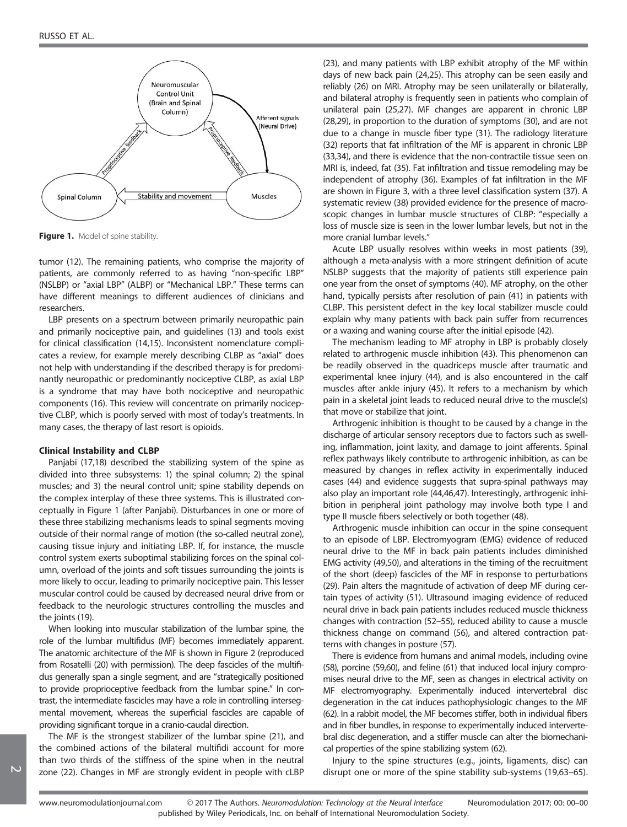

Figure 1. Model of spine stability.

tumor (12). The remaining patients, who comprise the majority of patients, are commonly referred to as having "non-specific LBP" (NSLBP) or "axial LBP" (ALBP) or "Mechanical LBP." These terms can have different meanings to different audiences of clinicians and researchers.

LBP presents on a spectrum between primarily neuropathic pain and primarily nociceptive pain, and guidelines (13) and tools exist for clinical classification (14,15). Inconsistent nomenclature complicates a review, for example merely describing CLBP as "axial" does not help with understanding if the described therapy is for predominantly neuropathic or predominantly nociceptive CLBP, as axial LBP is a syndrome that may have both nociceptive and neuropathic components (16). This review will concentrate on primarily nociceptive CLBP, which is poorly served with most of today's treatments. In many cases, the therapy of last resort is opioids.

#### Clinical Instability and CLBP

Panjabi (17,18) described the stabilizing system of the spine as divided into three subsystems: 1) the spinal column; 2) the spinal muscles; and 3) the neural control unit; spine stability depends on the complex interplay of these three systems. This is illustrated conceptually in Figure 1 (after Panjabi). Disturbances in one or more of these three stabilizing mechanisms leads to spinal segments moving outside of their normal range of motion (the so-called neutral zone), causing tissue injury and initiating LBP. If, for instance, the muscle control system exerts suboptimal stabilizing forces on the spinal column, overload of the joints and soft tissues surrounding the joints is more likely to occur, leading to primarily nociceptive pain. This lesser muscular control could be caused by decreased neural drive from or feedback to the neurologic structures controlling the muscles and the joints (19).

When looking into muscular stabilization of the lumbar spine, the role of the lumbar multifidus (MF) becomes immediately apparent. The anatomic architecture of the MF is shown in Figure 2 (reproduced from Rosatelli (20) with permission). The deep fascicles of the multifidus generally span a single segment, and are "strategically positioned to provide proprioceptive feedback from the lumbar spine." In contrast, the intermediate fascicles may have a role in controlling intersegmental movement, whereas the superficial fascicles are capable of providing significant torque in a cranio-caudal direction.

The MF is the strongest stabilizer of the lumbar spine (21), and the combined actions of the bilateral multifidi account for more than two thirds of the stiffness of the spine when in the neutral zone (22). Changes in MF are strongly evident in people with cLBP

(23), and many patients with LBP exhibit atrophy of the MF within days of new back pain (24,25). This atrophy can be seen easily and reliably (26) on MRI. Atrophy may be seen unilaterally or bilaterally, and bilateral atrophy is frequently seen in patients who complain of unilateral pain (25,27). MF changes are apparent in chronic LBP (28,29), in proportion to the duration of symptoms (30), and are not due to a change in muscle fiber type (31). The radiology literature (32) reports that fat infiltration of the MF is apparent in chronic LBP (33,34), and there is evidence that the non-contractile tissue seen on MRI is, indeed, fat (35). Fat infiltration and tissue remodeling may be independent of atrophy (36). Examples of fat infiltration in the MF are shown in Figure 3, with a three level classification system (37). A systematic review (38) provided evidence for the presence of macroscopic changes in lumbar muscle structures of CLBP: "especially a loss of muscle size is seen in the lower lumbar levels, but not in the more cranial lumbar levels."

Acute LBP usually resolves within weeks in most patients (39), although a meta-analysis with a more stringent definition of acute NSLBP suggests that the majority of patients still experience pain one year from the onset of symptoms (40). MF atrophy, on the other hand, typically persists after resolution of pain (41) in patients with CLBP. This persistent defect in the key local stabilizer muscle could explain why many patients with back pain suffer from recurrences or a waxing and waning course after the initial episode (42).

The mechanism leading to MF atrophy in LBP is probably closely related to arthrogenic muscle inhibition (43). This phenomenon can be readily observed in the quadriceps muscle after traumatic and experimental knee injury (44), and is also encountered in the calf muscles after ankle injury (45). It refers to a mechanism by which pain in a skeletal joint leads to reduced neural drive to the muscle(s) that move or stabilize that joint.

Arthrogenic inhibition is thought to be caused by a change in the discharge of articular sensory receptors due to factors such as swelling, inflammation, joint laxity, and damage to joint afferents. Spinal reflex pathways likely contribute to arthrogenic inhibition, as can be measured by changes in reflex activity in experimentally induced cases (44) and evidence suggests that supra-spinal pathways may also play an important role (44,46,47). Interestingly, arthrogenic inhibition in peripheral joint pathology may involve both type I and type II muscle fibers selectively or both together (48).

Arthrogenic muscle inhibition can occur in the spine consequent to an episode of LBP. Electromyogram (EMG) evidence of reduced neural drive to the MF in back pain patients includes diminished EMG activity (49,50), and alterations in the timing of the recruitment of the short (deep) fascicles of the MF in response to perturbations (29). Pain alters the magnitude of activation of deep MF during certain types of activity (51). Ultrasound imaging evidence of reduced neural drive in back pain patients includes reduced muscle thickness changes with contraction (52–55), reduced ability to cause a muscle thickness change on command (56), and altered contraction patterns with changes in posture (57).

There is evidence from humans and animal models, including ovine (58), porcine (59,60), and feline (61) that induced local injury compromises neural drive to the MF, seen as changes in electrical activity on MF electromyography. Experimentally induced intervertebral disc degeneration in the cat induces pathophysiologic changes to the MF (62). In a rabbit model, the MF becomes stiffer, both in individual fibers and in fiber bundles, in response to experimentally induced intervertebral disc degeneration, and a stiffer muscle can alter the biomechanical properties of the spine stabilizing system (62).

Injury to the spine structures (e.g., joints, ligaments, disc) can disrupt one or more of the spine stability sub-systems (19,63–65).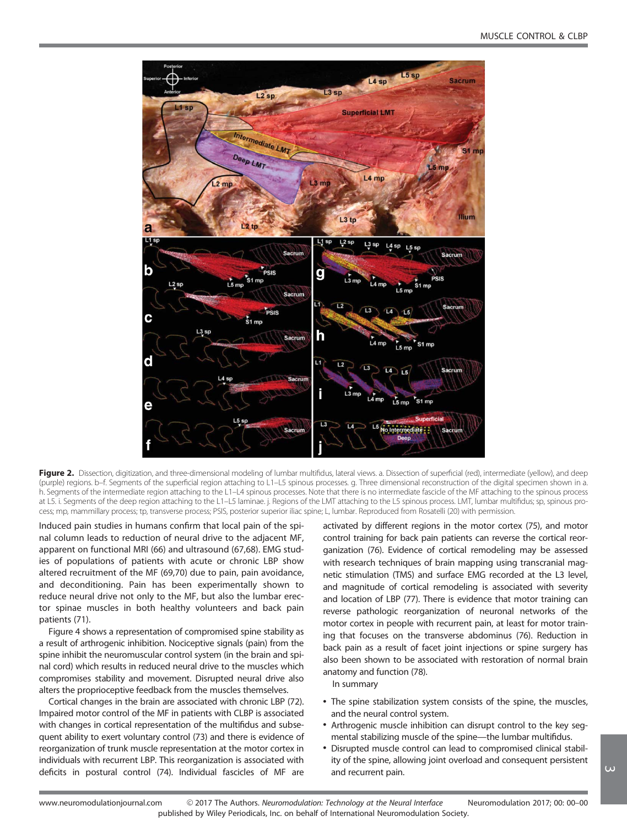

Figure 2. Dissection, digitization, and three-dimensional modeling of lumbar multifidus, lateral views. a. Dissection of superficial (red), intermediate (yellow), and deep (purple) regions. b–f. Segments of the superficial region attaching to L1–L5 spinous processes. g. Three dimensional reconstruction of the digital specimen shown in a. h. Segments of the intermediate region attaching to the L1–L4 spinous processes. Note that there is no intermediate fascicle of the MF attaching to the spinous process at L5. i. Segments of the deep region attaching to the L1–L5 laminae. j. Regions of the LMT attaching to the L5 spinous process. LMT, lumbar multifidus; sp, spinous process; mp, mammillary process; tp, transverse process; PSIS, posterior superior iliac spine; L, lumbar. Reproduced from Rosatelli (20) with permission.

Induced pain studies in humans confirm that local pain of the spinal column leads to reduction of neural drive to the adjacent MF, apparent on functional MRI (66) and ultrasound (67,68). EMG studies of populations of patients with acute or chronic LBP show altered recruitment of the MF (69,70) due to pain, pain avoidance, and deconditioning. Pain has been experimentally shown to reduce neural drive not only to the MF, but also the lumbar erector spinae muscles in both healthy volunteers and back pain patients (71).

Figure 4 shows a representation of compromised spine stability as a result of arthrogenic inhibition. Nociceptive signals (pain) from the spine inhibit the neuromuscular control system (in the brain and spinal cord) which results in reduced neural drive to the muscles which compromises stability and movement. Disrupted neural drive also alters the proprioceptive feedback from the muscles themselves.

Cortical changes in the brain are associated with chronic LBP (72). Impaired motor control of the MF in patients with CLBP is associated with changes in cortical representation of the multifidus and subsequent ability to exert voluntary control (73) and there is evidence of reorganization of trunk muscle representation at the motor cortex in individuals with recurrent LBP. This reorganization is associated with deficits in postural control (74). Individual fascicles of MF are

activated by different regions in the motor cortex (75), and motor control training for back pain patients can reverse the cortical reorganization (76). Evidence of cortical remodeling may be assessed with research techniques of brain mapping using transcranial magnetic stimulation (TMS) and surface EMG recorded at the L3 level, and magnitude of cortical remodeling is associated with severity and location of LBP (77). There is evidence that motor training can reverse pathologic reorganization of neuronal networks of the motor cortex in people with recurrent pain, at least for motor training that focuses on the transverse abdominus (76). Reduction in back pain as a result of facet joint injections or spine surgery has also been shown to be associated with restoration of normal brain anatomy and function (78).

In summary

- The spine stabilization system consists of the spine, the muscles, and the neural control system.
- Arthrogenic muscle inhibition can disrupt control to the key segmental stabilizing muscle of the spine—the lumbar multifidus.
- Disrupted muscle control can lead to compromised clinical stability of the spine, allowing joint overload and consequent persistent and recurrent pain.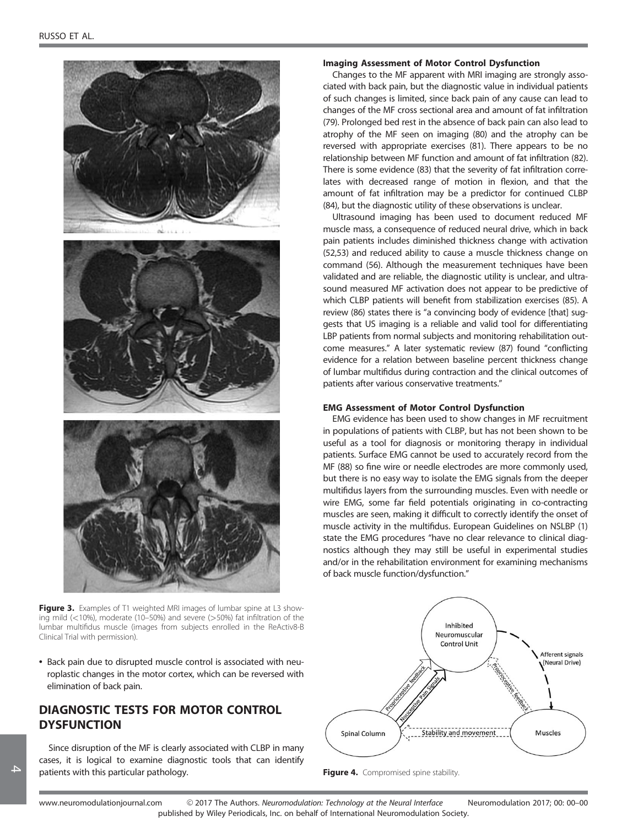

Figure 3. Examples of T1 weighted MRI images of lumbar spine at L3 showing mild ( $<$ 10%), moderate (10–50%) and severe ( $>$ 50%) fat infiltration of the lumbar multifidus muscle (images from subjects enrolled in the ReActiv8-B Clinical Trial with permission).

• Back pain due to disrupted muscle control is associated with neuroplastic changes in the motor cortex, which can be reversed with elimination of back pain.

## DIAGNOSTIC TESTS FOR MOTOR CONTROL **DYSFUNCTION**

Since disruption of the MF is clearly associated with CLBP in many cases, it is logical to examine diagnostic tools that can identify patients with this particular pathology.

## Imaging Assessment of Motor Control Dysfunction

Changes to the MF apparent with MRI imaging are strongly associated with back pain, but the diagnostic value in individual patients of such changes is limited, since back pain of any cause can lead to changes of the MF cross sectional area and amount of fat infiltration (79). Prolonged bed rest in the absence of back pain can also lead to atrophy of the MF seen on imaging (80) and the atrophy can be reversed with appropriate exercises (81). There appears to be no relationship between MF function and amount of fat infiltration (82). There is some evidence (83) that the severity of fat infiltration correlates with decreased range of motion in flexion, and that the amount of fat infiltration may be a predictor for continued CLBP (84), but the diagnostic utility of these observations is unclear.

Ultrasound imaging has been used to document reduced MF muscle mass, a consequence of reduced neural drive, which in back pain patients includes diminished thickness change with activation (52,53) and reduced ability to cause a muscle thickness change on command (56). Although the measurement techniques have been validated and are reliable, the diagnostic utility is unclear, and ultrasound measured MF activation does not appear to be predictive of which CLBP patients will benefit from stabilization exercises (85). A review (86) states there is "a convincing body of evidence [that] suggests that US imaging is a reliable and valid tool for differentiating LBP patients from normal subjects and monitoring rehabilitation outcome measures." A later systematic review (87) found "conflicting evidence for a relation between baseline percent thickness change of lumbar multifidus during contraction and the clinical outcomes of patients after various conservative treatments."

## EMG Assessment of Motor Control Dysfunction

EMG evidence has been used to show changes in MF recruitment in populations of patients with CLBP, but has not been shown to be useful as a tool for diagnosis or monitoring therapy in individual patients. Surface EMG cannot be used to accurately record from the MF (88) so fine wire or needle electrodes are more commonly used, but there is no easy way to isolate the EMG signals from the deeper multifidus layers from the surrounding muscles. Even with needle or wire EMG, some far field potentials originating in co-contracting muscles are seen, making it difficult to correctly identify the onset of muscle activity in the multifidus. European Guidelines on NSLBP (1) state the EMG procedures "have no clear relevance to clinical diagnostics although they may still be useful in experimental studies and/or in the rehabilitation environment for examining mechanisms of back muscle function/dysfunction."



Figure 4. Compromised spine stability.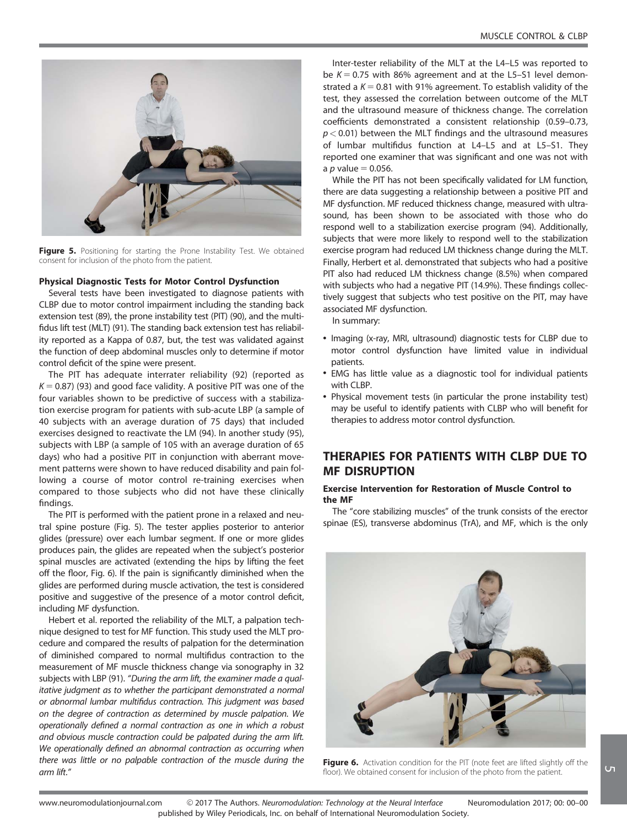

Figure 5. Positioning for starting the Prone Instability Test. We obtained consent for inclusion of the photo from the patient.

## Physical Diagnostic Tests for Motor Control Dysfunction

Several tests have been investigated to diagnose patients with CLBP due to motor control impairment including the standing back extension test (89), the prone instability test (PIT) (90), and the multifidus lift test (MLT) (91). The standing back extension test has reliability reported as a Kappa of 0.87, but, the test was validated against the function of deep abdominal muscles only to determine if motor control deficit of the spine were present.

The PIT has adequate interrater reliability (92) (reported as  $K = 0.87$ ) (93) and good face validity. A positive PIT was one of the four variables shown to be predictive of success with a stabilization exercise program for patients with sub-acute LBP (a sample of 40 subjects with an average duration of 75 days) that included exercises designed to reactivate the LM (94). In another study (95), subjects with LBP (a sample of 105 with an average duration of 65 days) who had a positive PIT in conjunction with aberrant movement patterns were shown to have reduced disability and pain following a course of motor control re-training exercises when compared to those subjects who did not have these clinically findings.

The PIT is performed with the patient prone in a relaxed and neutral spine posture (Fig. 5). The tester applies posterior to anterior glides (pressure) over each lumbar segment. If one or more glides produces pain, the glides are repeated when the subject's posterior spinal muscles are activated (extending the hips by lifting the feet off the floor, Fig. 6). If the pain is significantly diminished when the glides are performed during muscle activation, the test is considered positive and suggestive of the presence of a motor control deficit, including MF dysfunction.

Hebert et al. reported the reliability of the MLT, a palpation technique designed to test for MF function. This study used the MLT procedure and compared the results of palpation for the determination of diminished compared to normal multifidus contraction to the measurement of MF muscle thickness change via sonography in 32 subjects with LBP (91). "During the arm lift, the examiner made a qualitative judgment as to whether the participant demonstrated a normal or abnormal lumbar multifidus contraction. This judgment was based on the degree of contraction as determined by muscle palpation. We operationally defined a normal contraction as one in which a robust and obvious muscle contraction could be palpated during the arm lift. We operationally defined an abnormal contraction as occurring when there was little or no palpable contraction of the muscle during the arm lift."

Inter-tester reliability of the MLT at the L4–L5 was reported to be  $K = 0.75$  with 86% agreement and at the L5-S1 level demonstrated a  $K = 0.81$  with 91% agreement. To establish validity of the test, they assessed the correlation between outcome of the MLT and the ultrasound measure of thickness change. The correlation coefficients demonstrated a consistent relationship (0.59–0.73,  $p < 0.01$ ) between the MLT findings and the ultrasound measures of lumbar multifidus function at L4–L5 and at L5–S1. They reported one examiner that was significant and one was not with a *p* value  $= 0.056$ .

While the PIT has not been specifically validated for LM function, there are data suggesting a relationship between a positive PIT and MF dysfunction. MF reduced thickness change, measured with ultrasound, has been shown to be associated with those who do respond well to a stabilization exercise program (94). Additionally, subjects that were more likely to respond well to the stabilization exercise program had reduced LM thickness change during the MLT. Finally, Herbert et al. demonstrated that subjects who had a positive PIT also had reduced LM thickness change (8.5%) when compared with subjects who had a negative PIT (14.9%). These findings collectively suggest that subjects who test positive on the PIT, may have associated MF dysfunction.

In summary:

- Imaging (x-ray, MRI, ultrasound) diagnostic tests for CLBP due to motor control dysfunction have limited value in individual patients.
- EMG has little value as a diagnostic tool for individual patients with CLBP.
- Physical movement tests (in particular the prone instability test) may be useful to identify patients with CLBP who will benefit for therapies to address motor control dysfunction.

## THERAPIES FOR PATIENTS WITH CLBP DUE TO MF DISRUPTION

## Exercise Intervention for Restoration of Muscle Control to the MF

The "core stabilizing muscles" of the trunk consists of the erector spinae (ES), transverse abdominus (TrA), and MF, which is the only



Figure 6. Activation condition for the PIT (note feet are lifted slightly off the floor). We obtained consent for inclusion of the photo from the patient.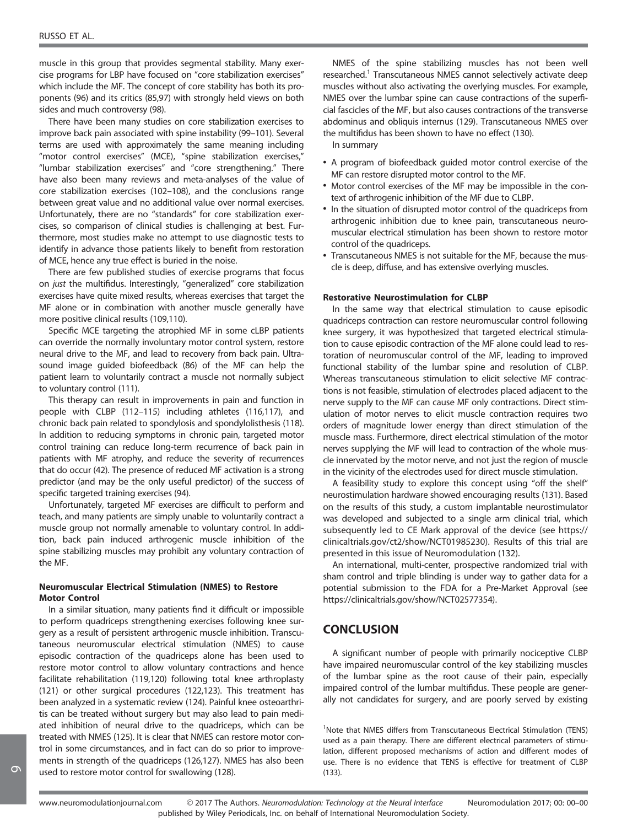muscle in this group that provides segmental stability. Many exercise programs for LBP have focused on "core stabilization exercises" which include the MF. The concept of core stability has both its proponents (96) and its critics (85,97) with strongly held views on both sides and much controversy (98).

There have been many studies on core stabilization exercises to improve back pain associated with spine instability (99–101). Several terms are used with approximately the same meaning including "motor control exercises" (MCE), "spine stabilization exercises," "lumbar stabilization exercises" and "core strengthening." There have also been many reviews and meta-analyses of the value of core stabilization exercises (102–108), and the conclusions range between great value and no additional value over normal exercises. Unfortunately, there are no "standards" for core stabilization exercises, so comparison of clinical studies is challenging at best. Furthermore, most studies make no attempt to use diagnostic tests to identify in advance those patients likely to benefit from restoration of MCE, hence any true effect is buried in the noise.

There are few published studies of exercise programs that focus on just the multifidus. Interestingly, "generalized" core stabilization exercises have quite mixed results, whereas exercises that target the MF alone or in combination with another muscle generally have more positive clinical results (109,110).

Specific MCE targeting the atrophied MF in some cLBP patients can override the normally involuntary motor control system, restore neural drive to the MF, and lead to recovery from back pain. Ultrasound image guided biofeedback (86) of the MF can help the patient learn to voluntarily contract a muscle not normally subject to voluntary control (111).

This therapy can result in improvements in pain and function in people with CLBP (112–115) including athletes (116,117), and chronic back pain related to spondylosis and spondylolisthesis (118). In addition to reducing symptoms in chronic pain, targeted motor control training can reduce long-term recurrence of back pain in patients with MF atrophy, and reduce the severity of recurrences that do occur (42). The presence of reduced MF activation is a strong predictor (and may be the only useful predictor) of the success of specific targeted training exercises (94).

Unfortunately, targeted MF exercises are difficult to perform and teach, and many patients are simply unable to voluntarily contract a muscle group not normally amenable to voluntary control. In addition, back pain induced arthrogenic muscle inhibition of the spine stabilizing muscles may prohibit any voluntary contraction of the MF.

## Neuromuscular Electrical Stimulation (NMES) to Restore Motor Control

In a similar situation, many patients find it difficult or impossible to perform quadriceps strengthening exercises following knee surgery as a result of persistent arthrogenic muscle inhibition. Transcutaneous neuromuscular electrical stimulation (NMES) to cause episodic contraction of the quadriceps alone has been used to restore motor control to allow voluntary contractions and hence facilitate rehabilitation (119,120) following total knee arthroplasty (121) or other surgical procedures (122,123). This treatment has been analyzed in a systematic review (124). Painful knee osteoarthritis can be treated without surgery but may also lead to pain mediated inhibition of neural drive to the quadriceps, which can be treated with NMES (125). It is clear that NMES can restore motor control in some circumstances, and in fact can do so prior to improvements in strength of the quadriceps (126,127). NMES has also been used to restore motor control for swallowing (128).

NMES of the spine stabilizing muscles has not been well researched.<sup>1</sup> Transcutaneous NMES cannot selectively activate deep muscles without also activating the overlying muscles. For example, NMES over the lumbar spine can cause contractions of the superficial fascicles of the MF, but also causes contractions of the transverse abdominus and obliquis internus (129). Transcutaneous NMES over the multifidus has been shown to have no effect (130).

In summary

- A program of biofeedback guided motor control exercise of the MF can restore disrupted motor control to the MF.
- Motor control exercises of the MF may be impossible in the context of arthrogenic inhibition of the MF due to CLBP.
- In the situation of disrupted motor control of the quadriceps from arthrogenic inhibition due to knee pain, transcutaneous neuromuscular electrical stimulation has been shown to restore motor control of the quadriceps.
- Transcutaneous NMES is not suitable for the MF, because the muscle is deep, diffuse, and has extensive overlying muscles.

#### Restorative Neurostimulation for CLBP

In the same way that electrical stimulation to cause episodic quadriceps contraction can restore neuromuscular control following knee surgery, it was hypothesized that targeted electrical stimulation to cause episodic contraction of the MF alone could lead to restoration of neuromuscular control of the MF, leading to improved functional stability of the lumbar spine and resolution of CLBP. Whereas transcutaneous stimulation to elicit selective MF contractions is not feasible, stimulation of electrodes placed adjacent to the nerve supply to the MF can cause MF only contractions. Direct stimulation of motor nerves to elicit muscle contraction requires two orders of magnitude lower energy than direct stimulation of the muscle mass. Furthermore, direct electrical stimulation of the motor nerves supplying the MF will lead to contraction of the whole muscle innervated by the motor nerve, and not just the region of muscle in the vicinity of the electrodes used for direct muscle stimulation.

A feasibility study to explore this concept using "off the shelf" neurostimulation hardware showed encouraging results (131). Based on the results of this study, a custom implantable neurostimulator was developed and subjected to a single arm clinical trial, which subsequently led to CE Mark approval of the device (see [https://](https://clinicaltrials.gov/ct2/show/NCT01985230) [clinicaltrials.gov/ct2/show/NCT01985230\)](https://clinicaltrials.gov/ct2/show/NCT01985230). Results of this trial are presented in this issue of Neuromodulation (132).

An international, multi-center, prospective randomized trial with sham control and triple blinding is under way to gather data for a potential submission to the FDA for a Pre-Market Approval (see [https://clinicaltrials.gov/show/NCT02577354\)](https://clinicaltrials.gov/show/NCT02577354).

## **CONCLUSION**

A significant number of people with primarily nociceptive CLBP have impaired neuromuscular control of the key stabilizing muscles of the lumbar spine as the root cause of their pain, especially impaired control of the lumbar multifidus. These people are generally not candidates for surgery, and are poorly served by existing

<sup>1</sup>Note that NMES differs from Transcutaneous Electrical Stimulation (TENS) used as a pain therapy. There are different electrical parameters of stimulation, different proposed mechanisms of action and different modes of use. There is no evidence that TENS is effective for treatment of CLBP (133).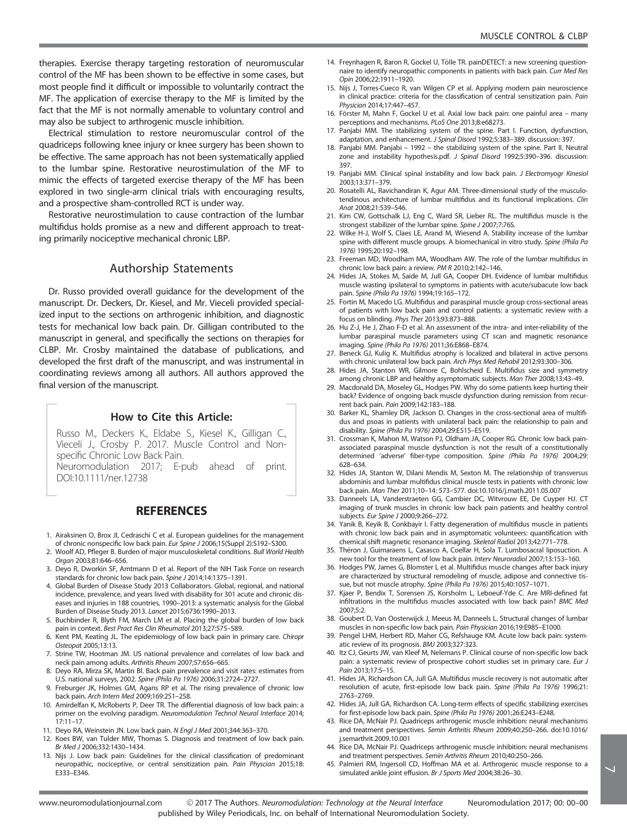therapies. Exercise therapy targeting restoration of neuromuscular control of the MF has been shown to be effective in some cases, but most people find it difficult or impossible to voluntarily contract the MF. The application of exercise therapy to the MF is limited by the fact that the MF is not normally amenable to voluntary control and may also be subject to arthrogenic muscle inhibition.

Electrical stimulation to restore neuromuscular control of the quadriceps following knee injury or knee surgery has been shown to be effective. The same approach has not been systematically applied to the lumbar spine. Restorative neurostimulation of the MF to mimic the effects of targeted exercise therapy of the MF has been explored in two single-arm clinical trials with encouraging results, and a prospective sham-controlled RCT is under way.

Restorative neurostimulation to cause contraction of the lumbar multifidus holds promise as a new and different approach to treating primarily nociceptive mechanical chronic LBP.

## Authorship Statements

Dr. Russo provided overall guidance for the development of the manuscript. Dr. Deckers, Dr. Kiesel, and Mr. Vieceli provided specialized input to the sections on arthrogenic inhibition, and diagnostic tests for mechanical low back pain. Dr. Gilligan contributed to the manuscript in general, and specifically the sections on therapies for CLBP. Mr. Crosby maintained the database of publications, and developed the first draft of the manuscript, and was instrumental in coordinating reviews among all authors. All authors approved the final version of the manuscript.

## How to Cite this Article:

Russo M., Deckers K., Eldabe S., Kiesel K., Gilligan C., Vieceli J., Crosby P. 2017. Muscle Control and Nonspecific Chronic Low Back Pain. Neuromodulation 2017; E-pub ahead of print. DOI:[10.1111/ner.12738](info:doi/10.1111/ner.12738)

## **REFERENCES**

- 1. Airaksinen O, Brox JI, Cedraschi C et al. European guidelines for the management of chronic nonspecific low back pain. Eur Spine J 2006;15(Suppl 2):S192–S300.
- 2. Woolf AD, Pfleger B. Burden of major musculoskeletal conditions. Bull World Health Organ 2003;81:646–656.
- 3. Deyo R, Dworkin SF, Amtmann D et al. Report of the NIH Task Force on research standards for chronic low back pain. Spine J 2014;14:1375–1391.
- 4. Global Burden of Disease Study 2013 Collaborators. Global, regional, and national incidence, prevalence, and years lived with disability for 301 acute and chronic diseases and injuries in 188 countries, 1990–2013: a systematic analysis for the Global Burden of Disease Study 2013. Lancet 2015;6736:1990–2013.
- 5. Buchbinder R, Blyth FM, March LM et al. Placing the global burden of low back pain in context. Best Pract Res Clin Rheumatol 2013;27:575–589.
- Kent PM, Keating JL. The epidemiology of low back pain in primary care. Chiropr Osteopat 2005;13:13.
- 7. Strine TW, Hootman JM. US national prevalence and correlates of low back and neck pain among adults. Arthritis Rheum 2007;57:656–665.
- 8. Deyo RA, Mirza SK, Martin BI. Back pain prevalence and visit rates: estimates from U.S. national surveys, 2002. Spine (Phila Pa 1976) 2006;31:2724–2727.
- Freburger JK, Holmes GM, Agans RP et al. The rising prevalence of chronic low back pain. Arch Intern Med 2009;169:251–258.
- 10. Amirdelfan K, McRoberts P, Deer TR. The differential diagnosis of low back pain: a primer on the evolving paradigm. Neuromodulation Technol Neural Interface 2014; 17:11–17.
- 11. Deyo RA, Weinstein JN. Low back pain. N Engl J Med 2001;344:363–370.
- 12. Koes BW, van Tulder MW, Thomas S. Diagnosis and treatment of low back pain. Br Med J 2006;332:1430–1434.
- 13. Nijs J. Low back pain: Guidelines for the clinical classification of predominant neuropathic, nociceptive, or central sensitization pain. Pain Physcian 2015;18: E333–E346.
- 14. Freynhagen R, Baron R, Gockel U, Tölle TR. painDETECT: a new screening questionnaire to identify neuropathic components in patients with back pain. Curr Med Res Opin 2006;22:1911–1920.
- 15. Nijs J, Torres-Cueco R, van Wilgen CP et al. Applying modern pain neuroscience in clinical practice: criteria for the classification of central sensitization pain. Pain Physician 2014;17:447–457.
- 16. Förster M, Mahn F, Gockel U et al. Axial low back pain: one painful area many perceptions and mechanisms. PLoS One 2013;8:e68273.
- 17. Panjabi MM. The stabilizing system of the spine. Part I. Function, dysfunction, adaptation, and enhancement. J Spinal Disord 1992;5:383–389. discussion: 397.
- 18. Panjabi MM. Panjabi 1992 the stabilizing system of the spine. Part II. Neutral zone and instability hypothesis.pdf. J Spinal Disord 1992;5:390–396. discussion: 397.
- 19. Panjabi MM. Clinical spinal instability and low back pain. J Electromyogr Kinesiol 2003;13:371–379.
- 20. Rosatelli AL, Ravichandiran K, Agur AM. Three-dimensional study of the musculotendinous architecture of lumbar multifidus and its functional implications. Clin Anat 2008;21:539–546.
- 21. Kim CW, Gottschalk LJ, Eng C, Ward SR, Lieber RL. The multifidus muscle is the strongest stabilizer of the lumbar spine. Spine J 2007;7:76S.
- 22. Wilke H-J, Wolf S, Claes LE, Arand M, Wiesend A. Stability increase of the lumbar spine with different muscle groups. A biomechanical in vitro study. Spine (Phila Pa 1976) 1995;20:192–198.
- 23. Freeman MD, Woodham MA, Woodham AW. The role of the lumbar multifidus in chronic low back pain: a review. PM R 2010;2:142–146.
- 24. Hides JA, Stokes M, Saide M, Jull GA, Cooper DH. Evidence of lumbar multifidus muscle wasting ipsilateral to symptoms in patients with acute/subacute low back pain. Spine (Phila Pa 1976) 1994;19:165–172.
- 25. Fortin M, Macedo LG. Multifidus and paraspinal muscle group cross-sectional areas of patients with low back pain and control patients: a systematic review with a focus on blinding. Phys Ther 2013;93:873–888.
- 26. Hu Z-J, He J, Zhao F-D et al. An assessment of the intra- and inter-reliability of the lumbar paraspinal muscle parameters using CT scan and magnetic resonance imaging. Spine (Phila Pa 1976) 2011;36:E868–E874.
- 27. Beneck GJ, Kulig K. Multifidus atrophy is localized and bilateral in active persons with chronic unilateral low back pain. Arch Phys Med Rehabil 2012;93:300–306.
- 28. Hides JA, Stanton WR, Gilmore C, Bohlscheid E. Multifidus size and symmetry among chronic LBP and healthy asymptomatic subjects. Man Ther 2008;13:43–49.
- 29. Macdonald DA, Moseley GL, Hodges PW. Why do some patients keep hurting their back? Evidence of ongoing back muscle dysfunction during remission from recurrent back pain. Pain 2009;142:183–188.
- 30. Barker KL, Shamley DR, Jackson D. Changes in the cross-sectional area of multifidus and psoas in patients with unilateral back pain: the relationship to pain and disability. Spine (Phila Pa 1976) 2004;29:E515–E519.
- 31. Crossman K, Mahon M, Watson PJ, Oldham JA, Cooper RG. Chronic low back painassociated paraspinal muscle dysfunction is not the result of a constitutionally determined 'adverse' fiber-type composition. Spine (Phila Pa 1976) 2004;29: 628–634.
- 32. Hides JA, Stanton W, Dilani Mendis M, Sexton M. The relationship of transversus abdominis and lumbar multifidus clinical muscle tests in patients with chronic low back pain. Man Ther 2011;10–14: 573–577. doi:[10.1016/j.math.2011.05.007](info:doi/10.1016/j.math.2011.05.007)
- 33. Danneels LA, Vanderstraeten GG, Cambier DC, Witvrouw EE, De Cuyper HJ. CT imaging of trunk muscles in chronic low back pain patients and healthy control subjects. Eur Spine J 2000;9:266–272.
- 34. Yanik B, Keyik B, Conkbayir I. Fatty degeneration of multifidus muscle in patients with chronic low back pain and in asymptomatic volunteers: quantification with chemical shift magnetic resonance imaging. Skeletal Radiol 2013;42:771–778.
- 35. Théron J, Guimaraens L, Casasco A, Coellar H, Sola T. Lumbosacral liposuction. A new tool for the treatment of low back pain. Interv Neuroradiol 2007;13:153–160.
- 36. Hodges PW, James G, Blomster L et al. Multifidus muscle changes after back injury are characterized by structural remodeling of muscle, adipose and connective tissue, but not muscle atrophy. Spine (Phila Pa 1976) 2015;40:1057–1071.
- 37. Kjaer P, Bendix T, Sorensen JS, Korsholm L, Leboeuf-Yde C. Are MRI-defined fat infiltrations in the multifidus muscles associated with low back pain? BMC Med 2007;5:2.
- 38. Goubert D, Van Oosterwijck J, Meeus M, Danneels L. Structural changes of lumbar muscles in non-specific low back pain. Pain Physician 2016;19:E985–E1000.
- 39. Pengel LHM, Herbert RD, Maher CG, Refshauge KM. Acute low back pain: systematic review of its prognosis. BMJ 2003;327:323.
- 40. Itz CJ, Geurts JW, van Kleef M, Nelemans P. Clinical course of non-specific low back pain: a systematic review of prospective cohort studies set in primary care. Eur J Pain 2013;17:5–15.
- 41. Hides JA, Richardson CA, Jull GA. Multifidus muscle recovery is not automatic after resolution of acute, first-episode low back pain. Spine (Phila Pa 1976) 1996;21: 2763–2769.
- 42. Hides JA, Jull GA, Richardson CA. Long-term effects of specific stabilizing exercises for first-episode low back pain. Spine (Phila Pa 1976) 2001;26:E243–E248.
- 43. Rice DA, McNair PJ. Quadriceps arthrogenic muscle inhibition: neural mechanisms and treatment perspectives. Semin Arthritis Rheum 2009;40:250–266. doi[:10.1016/](info:doi/10.1016/j.semarthrit.2009.10.001) [j.semarthrit.2009.10.001](info:doi/10.1016/j.semarthrit.2009.10.001)
- 44. Rice DA, McNair PJ. Quadriceps arthrogenic muscle inhibition: neural mechanisms and treatment perspectives. Semin Arthritis Rheum 2010;40:250–266.
- 45. Palmieri RM, Ingersoll CD, Hoffman MA et al. Arthrogenic muscle response to a simulated ankle joint effusion. Br J Sports Med 2004;38:26–30.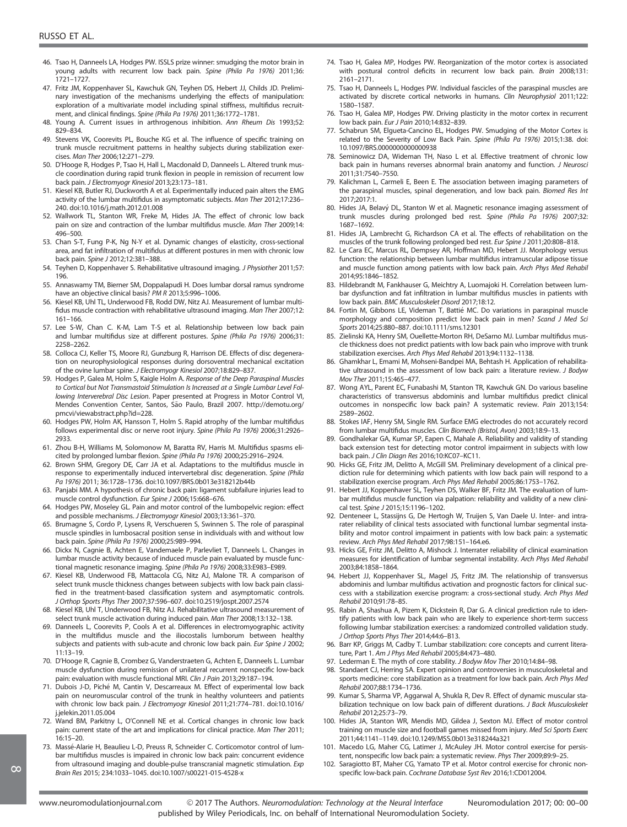- 46. Tsao H, Danneels LA, Hodges PW. ISSLS prize winner: smudging the motor brain in young adults with recurrent low back pain. Spine (Phila Pa 1976) 2011;36: 1721–1727.
- 47. Fritz JM, Koppenhaver SL, Kawchuk GN, Teyhen DS, Hebert JJ, Childs JD. Preliminary investigation of the mechanisms underlying the effects of manipulation: exploration of a multivariate model including spinal stiffness, multifidus recruitment, and clinical findings. Spine (Phila Pa 1976) 2011;36:1772–1781.
- 48. Young A. Current issues in arthrogenous inhibition. Ann Rheum Dis 1993;52: 829–834.
- 49. Stevens VK, Coorevits PL, Bouche KG et al. The influence of specific training on trunk muscle recruitment patterns in healthy subjects during stabilization exercises. Man Ther 2006;12:271–279.
- 50. D'Hooge R, Hodges P, Tsao H, Hall L, Macdonald D, Danneels L. Altered trunk muscle coordination during rapid trunk flexion in people in remission of recurrent low back pain. J Electromyogr Kinesiol 2013;23:173–181.
- 51. Kiesel KB, Butler RJ, Duckworth A et al. Experimentally induced pain alters the EMG activity of the lumbar multifidus in asymptomatic subjects. Man Ther 2012;17:236– 240. doi[:10.1016/j.math.2012.01.008](info:doi/10.1016/j.math.2012.01.008)
- 52. Wallwork TL, Stanton WR, Freke M, Hides JA. The effect of chronic low back pain on size and contraction of the lumbar multifidus muscle. Man Ther 2009;14: 496–500.
- 53. Chan S-T, Fung P-K, Ng N-Y et al. Dynamic changes of elasticity, cross-sectional area, and fat infiltration of multifidus at different postures in men with chronic low back pain. Spine J 2012;12:381–388.
- 54. Teyhen D, Koppenhaver S. Rehabilitative ultrasound imaging. J Physiother 2011;57: 196.
- 55. Annaswamy TM, Bierner SM, Doppalapudi H. Does lumbar dorsal ramus syndrome have an objective clinical basis? PM R 2013;5:996–1006.
- 56. Kiesel KB, Uhl TL, Underwood FB, Rodd DW, Nitz AJ. Measurement of lumbar multifidus muscle contraction with rehabilitative ultrasound imaging. Man Ther 2007;12: 161–166.
- 57. Lee S-W, Chan C. K-M, Lam T-S et al. Relationship between low back pain and lumbar multifidus size at different postures. Spine (Phila Pa 1976) 2006;31: 2258–2262.
- 58. Colloca CJ, Keller TS, Moore RJ, Gunzburg R, Harrison DE. Effects of disc degeneration on neurophysiological responses during dorsoventral mechanical excitation of the ovine lumbar spine. J Electromyogr Kinesiol 2007;18:829–837.
- 59. Hodges P, Galea M, Holm S, Kaigle Holm A. Response of the Deep Paraspinal Muscles to Cortical but Not Transmastoid Stimulation Is Increased at a Single Lumbar Level Following Interverebral Disc Lesion. Paper presented at Progress in Motor Control VI, Mendes Convention Center, Santos, São Paulo, Brazil 2007. [http://demotu.org/](http://demotu.org/pmcvi/viewabstract.php?id=228) [pmcvi/viewabstract.php?id=228.](http://demotu.org/pmcvi/viewabstract.php?id=228)
- 60. Hodges PW, Holm AK, Hansson T, Holm S. Rapid atrophy of the lumbar multifidus follows experimental disc or nerve root injury. Spine (Phila Pa 1976) 2006;31:2926– 2933.
- 61. Zhou B-H, Williams M, Solomonow M, Baratta RV, Harris M. Multifidus spasms elicited by prolonged lumbar flexion. Spine (Phila Pa 1976) 2000;25:2916–2924.
- 62. Brown SHM, Gregory DE, Carr JA et al. Adaptations to the multifidus muscle in response to experimentally induced intervertebral disc degeneration. Spine (Phila Pa 1976) 2011; 36:1728–1736. doi[:10.1097/BRS.0b013e318212b44b](info:doi/10.1097/BRS.0b013e318212b44b)
- 63. Panjabi MM. A hypothesis of chronic back pain: ligament subfailure injuries lead to muscle control dysfunction. Eur Spine J 2006;15:668–676.
- 64. Hodges PW, Moseley GL. Pain and motor control of the lumbopelvic region: effect and possible mechanisms. J Electromyogr Kinesiol 2003;13:361–370.
- 65. Brumagne S, Cordo P, Lysens R, Verschueren S, Swinnen S. The role of paraspinal muscle spindles in lumbosacral position sense in individuals with and without low back pain. Spine (Phila Pa 1976) 2000;25:989–994.
- 66. Dickx N, Cagnie B, Achten E, Vandemaele P, Parlevliet T, Danneels L. Changes in lumbar muscle activity because of induced muscle pain evaluated by muscle functional magnetic resonance imaging. Spine (Phila Pa 1976) 2008;33:E983–E989.
- 67. Kiesel KB, Underwood FB, Mattacola CG, Nitz AJ, Malone TR. A comparison of select trunk muscle thickness changes between subjects with low back pain classified in the treatment-based classification system and asymptomatic controls. J Orthop Sports Phys Ther 2007;37:596–607. doi:[10.2519/jospt.2007.2574](info:doi/10.2519/jospt.2007.2574)
- 68. Kiesel KB, Uhl T, Underwood FB, Nitz AJ. Rehabilitative ultrasound measurement of select trunk muscle activation during induced pain. Man Ther 2008;13:132–138.
- 69. Danneels L, Coorevits P, Cools A et al. Differences in electromyographic activity in the multifidus muscle and the iliocostalis lumborum between healthy subjects and patients with sub-acute and chronic low back pain. Eur Spine J 2002; 11:13–19.
- 70. D'Hooge R, Cagnie B, Crombez G, Vanderstraeten G, Achten E, Danneels L. Lumbar muscle dysfunction during remission of unilateral recurrent nonspecific low-back pain: evaluation with muscle functional MRI. Clin J Pain 2013;29:187-194
- 71. Dubois J-D, Piché M, Cantin V, Descarreaux M. Effect of experimental low back pain on neuromuscular control of the trunk in healthy volunteers and patients with chronic low back pain. J Electromyogr Kinesiol 2011;21:774–781. doi[:10.1016/](info:doi/10.1016/j.jelekin.2011.05.004) [j.jelekin.2011.05.004](info:doi/10.1016/j.jelekin.2011.05.004)
- 72. Wand BM, Parkitny L, O'Connell NE et al. Cortical changes in chronic low back pain: current state of the art and implications for clinical practice. Man Ther 2011; 16:15–20.
- 73. Massé-Alarie H, Beaulieu L-D, Preuss R, Schneider C. Corticomotor control of lumbar multifidus muscles is impaired in chronic low back pain: concurrent evidence from ultrasound imaging and double-pulse transcranial magnetic stimulation. Exp Brain Res 2015; 234:1033–1045. doi:[10.1007/s00221-015-4528-x](info:doi/10.1007/s00221-015-4528-x)
- 74. Tsao H, Galea MP, Hodges PW. Reorganization of the motor cortex is associated with postural control deficits in recurrent low back pain. Brain 2008:131: 2161–2171.
- 75. Tsao H, Danneels L, Hodges PW. Individual fascicles of the paraspinal muscles are activated by discrete cortical networks in humans. Clin Neurophysiol 2011;122: 1580–1587.
- 76. Tsao H, Galea MP, Hodges PW. Driving plasticity in the motor cortex in recurrent low back pain. Eur J Pain 2010;14:832–839.
- 77. Schabrun SM, Elgueta-Cancino EL, Hodges PW. Smudging of the Motor Cortex is related to the Severity of Low Back Pain. Spine (Phila Pa 1976) 2015;1:38. doi: [10.1097/BRS.0000000000000938](info:doi/10.1097/BRS.0000000000000938)
- 78. Seminowicz DA, Wideman TH, Naso L et al. Effective treatment of chronic low back pain in humans reverses abnormal brain anatomy and function. J Neurosci 2011;31:7540–7550.
- 79. Kalichman L, Carmeli E, Been E. The association between imaging parameters of the paraspinal muscles, spinal degeneration, and low back pain. Biomed Res Int 2017;2017:1.
- 80. Hides JA, Belavý DL, Stanton W et al. Magnetic resonance imaging assessment of trunk muscles during prolonged bed rest. Spine (Phila Pa 1976) 2007;32: 1687–1692.
- 81. Hides JA, Lambrecht G, Richardson CA et al. The effects of rehabilitation on the muscles of the trunk following prolonged bed rest. Eur Spine J 2011;20:808–818.
- 82. Le Cara EC, Marcus RL, Dempsey AR, Hoffman MD, Hebert JJ. Morphology versus function: the relationship between lumbar multifidus intramuscular adipose tissue and muscle function among patients with low back pain. Arch Phys Med Rehabil 2014;95:1846–1852.
- 83. Hildebrandt M, Fankhauser G, Meichtry A, Luomajoki H. Correlation between lumbar dysfunction and fat infiltration in lumbar multifidus muscles in patients with low back pain. BMC Musculoskelet Disord 2017;18:12.
- 84. Fortin M, Gibbons LE, Videman T, Battié MC. Do variations in paraspinal muscle morphology and composition predict low back pain in men? Scand J Med Sci Sports 2014;25:880–887. doi[:10.1111/sms.12301](info:doi/10.1111/sms.12301)
- 85. Zielinski KA, Henry SM, Ouellette-Morton RH, DeSarno MJ. Lumbar multifidus muscle thickness does not predict patients with low back pain who improve with trunk stabilization exercises. Arch Phys Med Rehabil 2013;94:1132–1138.
- 86. Ghamkhar L, Emami M, Mohseni-Bandpei MA, Behtash H. Application of rehabilitative ultrasound in the assessment of low back pain: a literature review. J Bodyw Mov Ther 2011;15:465–477.
- 87. Wong AYL, Parent EC, Funabashi M, Stanton TR, Kawchuk GN. Do various baseline characteristics of transversus abdominis and lumbar multifidus predict clinical outcomes in nonspecific low back pain? A systematic review. Pain 2013;154: 2589–2602.
- 88. Stokes IAF, Henry SM, Single RM. Surface EMG electrodes do not accurately record from lumbar multifidus muscles. Clin Biomech (Bristol, Avon) 2003;18:9–13.
- 89. Gondhalekar GA, Kumar SP, Eapen C, Mahale A. Reliability and validity of standing back extension test for detecting motor control impairment in subjects with low back pain. J Clin Diagn Res 2016;10:KC07–KC11.
- 90. Hicks GE, Fritz JM, Delitto A, McGill SM. Preliminary development of a clinical prediction rule for determining which patients with low back pain will respond to a stabilization exercise program. Arch Phys Med Rehabil 2005;86:1753–1762.
- 91. Hebert JJ, Koppenhaver SL, Teyhen DS, Walker BF, Fritz JM. The evaluation of lumbar multifidus muscle function via palpation: reliability and validity of a new clinical test. Spine J 2015;15:1196–1202.
- 92. Denteneer L, Stassijns G, De Hertogh W, Truijen S, Van Daele U. Inter- and intrarater reliability of clinical tests associated with functional lumbar segmental instability and motor control impairment in patients with low back pain: a systematic review. Arch Phys Med Rehabil 2017;98:151–164.e6.
- 93. Hicks GE, Fritz JM, Delitto A, Mishock J. Interrater reliability of clinical examination measures for identification of lumbar segmental instability. Arch Phys Med Rehabil 2003;84:1858–1864.
- 94. Hebert JJ, Koppenhaver SL, Magel JS, Fritz JM. The relationship of transversus abdominis and lumbar multifidus activation and prognostic factors for clinical success with a stabilization exercise program: a cross-sectional study. Arch Phys Med Rehabil 2010;91:78–85.
- 95. Rabin A, Shashua A, Pizem K, Dickstein R, Dar G. A clinical prediction rule to identify patients with low back pain who are likely to experience short-term success following lumbar stabilization exercises: a randomized controlled validation study. J Orthop Sports Phys Ther 2014;44:6–B13.
- 96. Barr KP, Griggs M, Cadby T. Lumbar stabilization: core concepts and current literature, Part 1. Am J Phys Med Rehabil 2005;84:473–480.
- 97. Lederman E. The myth of core stability. J Bodyw Mov Ther 2010;14:84-98.
- 98. Standaert CJ, Herring SA. Expert opinion and controversies in musculoskeletal and sports medicine: core stabilization as a treatment for low back pain. Arch Phys Med Rehabil 2007;88:1734–1736.
- 99. Kumar S, Sharma VP, Aggarwal A, Shukla R, Dev R. Effect of dynamic muscular stabilization technique on low back pain of different durations. J Back Musculoskelet Rehabil 2012;25:73–79.
- 100. Hides JA, Stanton WR, Mendis MD, Gildea J, Sexton MJ. Effect of motor control training on muscle size and football games missed from injury. Med Sci Sports Exerc 2011;44:1141–1149. doi:[10.1249/MSS.0b013e318244a321](info:doi/10.1249/MSS.0b013e318244a321)
- 101. Macedo LG, Maher CG, Latimer J, McAuley JH. Motor control exercise for persistent, nonspecific low back pain: a systematic review. Phys Ther 2009;89:9–25.
- 102. Saragiotto BT, Maher CG, Yamato TP et al. Motor control exercise for chronic nonspecific low-back pain. Cochrane Database Syst Rev 2016;1:CD012004.